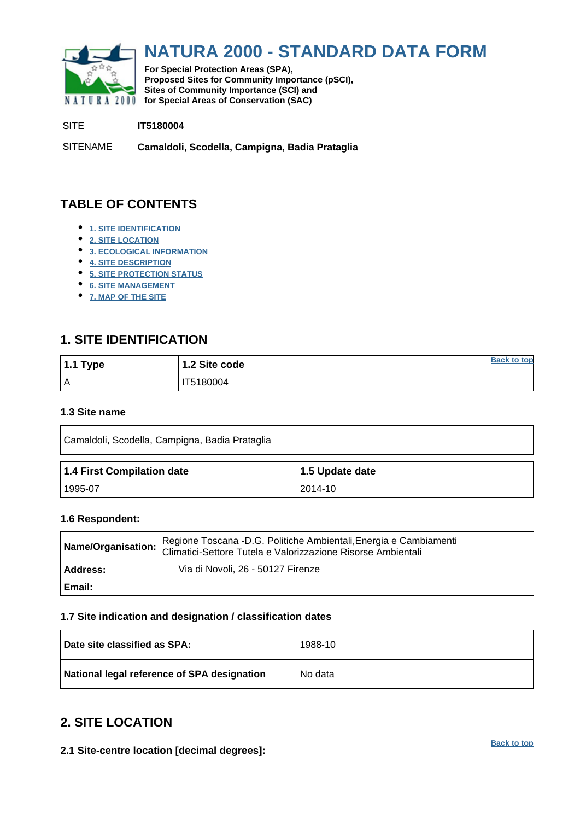<span id="page-0-0"></span>

# **NATURA 2000 - STANDARD DATA FORM**

**For Special Protection Areas (SPA), Proposed Sites for Community Importance (pSCI), Sites of Community Importance (SCI) and NATURA 2000 for Special Areas of Conservation (SAC)** 

SITE **IT5180004**

SITENAME **Camaldoli, Scodella, Campigna, Badia Prataglia**

## **TABLE OF CONTENTS**

- **[1. SITE IDENTIFICATION](#page-0-1)**
- **[2. SITE LOCATION](#page-0-2)**
- **[3. ECOLOGICAL INFORMATION](#page-1-0)**
- **[4. SITE DESCRIPTION](#page-5-0)**
- **[5. SITE PROTECTION STATUS](#page-6-0)**
- **[6. SITE MANAGEMENT](#page-6-1)**
- **[7. MAP OF THE SITE](#page-7-0)**

## <span id="page-0-1"></span>**1. SITE IDENTIFICATION**

| $1.1$ Type | 1.2 Site code | <b>Back to top</b> |
|------------|---------------|--------------------|
| I۸         | IT5180004     |                    |

#### **1.3 Site name**

| Camaldoli, Scodella, Campigna, Badia Prataglia |                 |  |  |  |  |  |  |  |
|------------------------------------------------|-----------------|--|--|--|--|--|--|--|
| 1.4 First Compilation date                     | 1.5 Update date |  |  |  |  |  |  |  |
| 1995-07                                        | 2014-10         |  |  |  |  |  |  |  |

#### **1.6 Respondent:**

| Name/Organisation: | Regione Toscana -D.G. Politiche Ambientali, Energia e Cambiamenti<br>Climatici-Settore Tutela e Valorizzazione Risorse Ambientali |
|--------------------|-----------------------------------------------------------------------------------------------------------------------------------|
| Address:           | Via di Novoli, 26 - 50127 Firenze                                                                                                 |
| Email:             |                                                                                                                                   |

#### **1.7 Site indication and designation / classification dates**

| Date site classified as SPA:                | 1988-10 |
|---------------------------------------------|---------|
| National legal reference of SPA designation | No data |

## <span id="page-0-2"></span>**2. SITE LOCATION**

**2.1 Site-centre location [decimal degrees]:**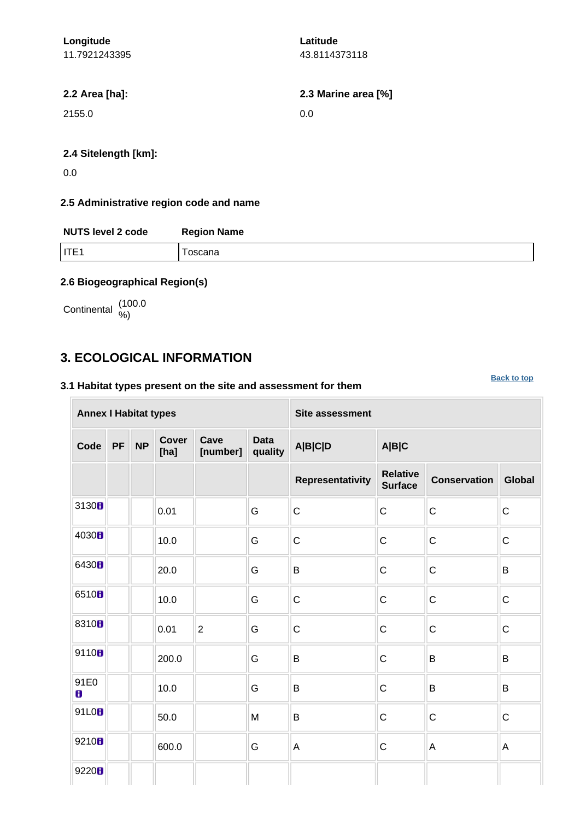| Longitude     |  |
|---------------|--|
| 11.7921243395 |  |

**Latitude** 43.8114373118

**2.2 Area [ha]: 2.3 Marine area [%]**

2155.0 0.0

#### **2.4 Sitelength [km]:**

0.0

#### **2.5 Administrative region code and name**

| <b>NUTS level 2 code</b> | <b>Region Name</b> |  |  |  |  |  |  |
|--------------------------|--------------------|--|--|--|--|--|--|
| <b>ITE1</b>              | oscana             |  |  |  |  |  |  |

#### **2.6 Biogeographical Region(s)**

Continental (100.0

## <span id="page-1-0"></span>**3. ECOLOGICAL INFORMATION**

#### **3.1 Habitat types present on the site and assessment for them**

**[Back to top](#page-0-0)**

| <b>Annex I Habitat types</b> |           |           |                      |                  |                        | <b>Site assessment</b> |                                   |                     |             |
|------------------------------|-----------|-----------|----------------------|------------------|------------------------|------------------------|-----------------------------------|---------------------|-------------|
| Code                         | <b>PF</b> | <b>NP</b> | <b>Cover</b><br>[ha] | Cave<br>[number] | <b>Data</b><br>quality | <b>A B C D</b>         | A B C                             |                     |             |
|                              |           |           |                      |                  |                        | Representativity       | <b>Relative</b><br><b>Surface</b> | <b>Conservation</b> | Global      |
| 3130H                        |           |           | 0.01                 |                  | G                      | $\mathsf C$            | $\mathsf{C}$                      | $\mathsf C$         | $\mathsf C$ |
| 4030H                        |           |           | 10.0                 |                  | G                      | $\mathsf C$            | $\mathsf{C}$                      | $\mathsf{C}$        | $\mathsf C$ |
| 6430 <sub>B</sub>            |           |           | 20.0                 |                  | G                      | B                      | $\mathsf{C}$                      | $\mathsf C$         | B           |
| 6510 <sub>B</sub>            |           |           | 10.0                 |                  | G                      | $\mathbf C$            | $\mathsf C$                       | $\mathsf C$         | $\mathsf C$ |
| 8310 <sub>B</sub>            |           |           | 0.01                 | $\overline{2}$   | G                      | $\mathsf C$            | $\mathsf{C}$                      | $\mathsf C$         | $\mathsf C$ |
| 9110B                        |           |           | 200.0                |                  | ${\mathsf G}$          | $\sf B$                | $\mathsf{C}$                      | B                   | $\sf B$     |
| 91E0<br>8                    |           |           | 10.0                 |                  | G                      | $\sf B$                | $\mathsf C$                       | B                   | B           |
| 91L0B                        |           |           | 50.0                 |                  | M                      | B                      | $\mathsf{C}$                      | $\mathsf C$         | $\mathsf C$ |
| 9210 <sub>B</sub>            |           |           | 600.0                |                  | G                      | $\mathsf{A}$           | $\mathsf{C}$                      | A                   | A           |
| 9220 <sub>B</sub>            |           |           |                      |                  |                        |                        |                                   |                     |             |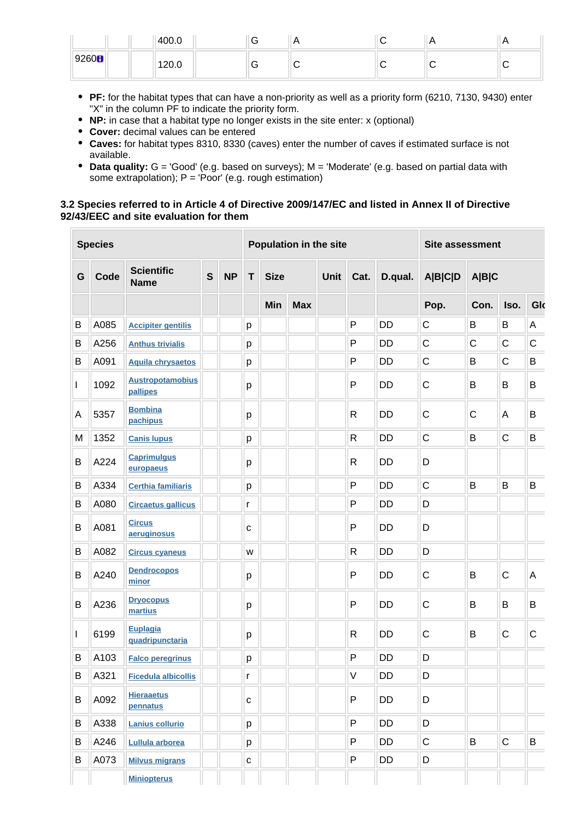|                   | 400.0 | v | n | . | . . |
|-------------------|-------|---|---|---|-----|
| 9260 <sub>B</sub> | 120.0 | ╰ |   |   |     |

- **PF:** for the habitat types that can have a non-priority as well as a priority form (6210, 7130, 9430) enter "X" in the column PF to indicate the priority form.
- **NP:** in case that a habitat type no longer exists in the site enter: x (optional)
- **Cover:** decimal values can be entered
- **Caves:** for habitat types 8310, 8330 (caves) enter the number of caves if estimated surface is not available.
- **Data quality:** G = 'Good' (e.g. based on surveys); M = 'Moderate' (e.g. based on partial data with some extrapolation);  $P = 'Poor'$  (e.g. rough estimation)

#### **3.2 Species referred to in Article 4 of Directive 2009/147/EC and listed in Annex II of Directive 92/43/EEC and site evaluation for them**

|              | <b>Species</b> |                                     |              |           |              | Population in the site |  |                     |              |           |                | <b>Site assessment</b> |              |         |  |
|--------------|----------------|-------------------------------------|--------------|-----------|--------------|------------------------|--|---------------------|--------------|-----------|----------------|------------------------|--------------|---------|--|
| G            | Code           | <b>Scientific</b><br><b>Name</b>    | $\mathbf{s}$ | <b>NP</b> | $\mathsf{T}$ | <b>Size</b>            |  | <b>Unit</b><br>Cat. |              | D.qual.   | <b>A B C D</b> | A B C                  |              |         |  |
|              |                |                                     |              |           |              | Min<br><b>Max</b>      |  |                     |              |           | Pop.           | Con.                   | Iso.         | Glo     |  |
| B            | A085           | <b>Accipiter gentilis</b>           |              |           | р            |                        |  |                     | P            | <b>DD</b> | $\mathsf C$    | B                      | B            | A       |  |
| B            | A256           | <b>Anthus trivialis</b>             |              |           | р            |                        |  |                     | P            | <b>DD</b> | $\mathsf C$    | $\mathsf{C}$           | $\mathsf C$  | C       |  |
| B            | A091           | <b>Aquila chrysaetos</b>            |              |           | р            |                        |  |                     | P            | DD        | $\mathsf C$    | B                      | $\mathsf C$  | B       |  |
| L            | 1092           | <b>Austropotamobius</b><br>pallipes |              |           | р            |                        |  |                     | P            | <b>DD</b> | $\mathsf{C}$   | B                      | B            | B       |  |
| A            | 5357           | <b>Bombina</b><br>pachipus          |              |           | р            |                        |  |                     | R            | <b>DD</b> | $\mathsf{C}$   | C                      | A            | B       |  |
| M            | 1352           | <b>Canis lupus</b>                  |              |           | p            |                        |  |                     | $\mathsf{R}$ | <b>DD</b> | $\mathsf{C}$   | B                      | $\mathsf C$  | $\sf B$ |  |
| B            | A224           | <b>Caprimulgus</b><br>europaeus     |              |           | р            |                        |  |                     | R            | <b>DD</b> | D              |                        |              |         |  |
| В            | A334           | <b>Certhia familiaris</b>           |              |           | p            |                        |  |                     | P            | <b>DD</b> | $\mathsf{C}$   | B                      | B            | $\sf B$ |  |
| В            | A080           | <b>Circaetus gallicus</b>           |              |           | r            |                        |  |                     | P            | <b>DD</b> | D              |                        |              |         |  |
| B            | A081           | <b>Circus</b><br>aeruginosus        |              |           | C            |                        |  |                     | P            | <b>DD</b> | D              |                        |              |         |  |
| B            | A082           | <b>Circus cyaneus</b>               |              |           | W            |                        |  |                     | $\mathsf{R}$ | <b>DD</b> | D              |                        |              |         |  |
| B            | A240           | <b>Dendrocopos</b><br>minor         |              |           | р            |                        |  |                     | P            | <b>DD</b> | $\mathsf{C}$   | B                      | $\mathsf{C}$ | A       |  |
| B            | A236           | <b>Dryocopus</b><br>martius         |              |           | р            |                        |  |                     | P            | <b>DD</b> | $\mathsf C$    | B                      | B            | B       |  |
| $\mathbf{I}$ | 6199           | <b>Euplagia</b><br>quadripunctaria  |              |           | р            |                        |  |                     | $\mathsf{R}$ | <b>DD</b> | $\mathsf C$    | B                      | $\mathsf C$  | C       |  |
| B            | A103           | <b>Falco peregrinus</b>             |              |           | р            |                        |  |                     | P            | <b>DD</b> | D              |                        |              |         |  |
| B            | A321           | <b>Ficedula albicollis</b>          |              |           | r            |                        |  |                     | $\sf V$      | DD        | D              |                        |              |         |  |
| В            | A092           | <b>Hieraaetus</b><br>pennatus       |              |           | ${\bf C}$    |                        |  |                     | P            | DD        | D              |                        |              |         |  |
| B            | A338           | Lanius collurio                     |              |           | p            |                        |  |                     | P            | DD        | D              |                        |              |         |  |
| B            | A246           | Lullula arborea                     |              |           | p            |                        |  |                     | P            | DD        | $\mathsf C$    | B                      | $\mathsf C$  | B       |  |
| В            | A073           | <b>Milvus migrans</b>               |              |           | $\mathbf{C}$ |                        |  |                     | P            | DD        | D              |                        |              |         |  |
|              |                | <b>Miniopterus</b>                  |              |           |              |                        |  |                     |              |           |                |                        |              |         |  |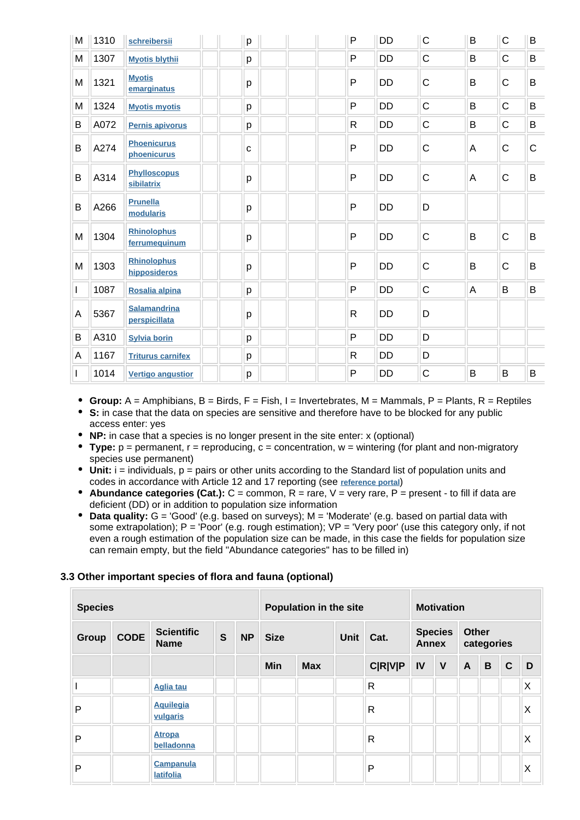| M | 1310 | schreibersii                         | p           | $\mathsf{P}$ | <b>DD</b> | $\mathsf C$ | B       | $\mathsf C$    | B            |
|---|------|--------------------------------------|-------------|--------------|-----------|-------------|---------|----------------|--------------|
| M | 1307 | <b>Myotis blythii</b>                | p           | $\mathsf{P}$ | <b>DD</b> | C           | B       | $\mathsf C$    | B            |
| M | 1321 | <b>Myotis</b><br>emarginatus         | p           | $\mathsf{P}$ | <b>DD</b> | $\mathsf C$ | B       | C              | B            |
| M | 1324 | <b>Myotis myotis</b>                 | p           | $\mathsf{P}$ | <b>DD</b> | C           | B       | C              | B            |
| В | A072 | Pernis apivorus                      | p           | $\mathsf{R}$ | DD        | C           | B       | C              | B            |
| B | A274 | <b>Phoenicurus</b><br>phoenicurus    | $\mathbf c$ | $\mathsf{P}$ | <b>DD</b> | $\mathsf C$ | A       | C              | $\mathsf{C}$ |
| B | A314 | <b>Phylloscopus</b><br>sibilatrix    | p           | P            | <b>DD</b> | C           | A       | $\mathsf C$    | B            |
| B | A266 | <b>Prunella</b><br>modularis         | p           | $\mathsf{P}$ | <b>DD</b> | D           |         |                |              |
| M | 1304 | <b>Rhinolophus</b><br>ferrumequinum  | р           | $\mathsf{P}$ | <b>DD</b> | C           | $\sf B$ | $\overline{C}$ | B            |
| M | 1303 | <b>Rhinolophus</b><br>hipposideros   | p           | $\mathsf{P}$ | <b>DD</b> | C           | B       | $\mathsf C$    | B            |
|   | 1087 | Rosalia alpina                       | p           | $\mathsf{P}$ | <b>DD</b> | $\mathsf C$ | A       | B              | B            |
| A | 5367 | <b>Salamandrina</b><br>perspicillata | р           | $\mathsf{R}$ | DD        | D           |         |                |              |
| B | A310 | <b>Sylvia borin</b>                  | p           | P            | <b>DD</b> | D           |         |                |              |
| A | 1167 | <b>Triturus carnifex</b>             | p           | $\mathsf{R}$ | <b>DD</b> | D           |         |                |              |
| L | 1014 | <b>Vertigo angustior</b>             | p           | P            | DD        | C           | B       | B              | B            |

- **Group:** A = Amphibians, B = Birds, F = Fish, I = Invertebrates, M = Mammals, P = Plants, R = Reptiles
- **S:** in case that the data on species are sensitive and therefore have to be blocked for any public access enter: yes
- **NP:** in case that a species is no longer present in the site enter: x (optional)
- **Type:**  $p =$  permanent,  $r =$  reproducing,  $c =$  concentration,  $w =$  wintering (for plant and non-migratory species use permanent)
- $\bullet$  Unit: i = individuals,  $p =$  pairs or other units according to the Standard list of population units and codes in accordance with Article 12 and 17 reporting (see **[reference portal](http://bd.eionet.europa.eu/activities/Natura_2000/reference_portal)**)
- **Abundance categories (Cat.):** C = common, R = rare, V = very rare, P = present to fill if data are deficient (DD) or in addition to population size information
- **Data quality:** G = 'Good' (e.g. based on surveys); M = 'Moderate' (e.g. based on partial data with some extrapolation);  $P = 'Poor'$  (e.g. rough estimation);  $VP = 'Very$  poor' (use this category only, if not even a rough estimation of the population size can be made, in this case the fields for population size can remain empty, but the field "Abundance categories" has to be filled in)

#### **3.3 Other important species of flora and fauna (optional)**

| <b>Species</b> |             |                                      |              |           | Population in the site |            |      |                |                                | <b>Motivation</b> |                            |             |              |   |  |
|----------------|-------------|--------------------------------------|--------------|-----------|------------------------|------------|------|----------------|--------------------------------|-------------------|----------------------------|-------------|--------------|---|--|
| <b>Group</b>   | <b>CODE</b> | <b>Scientific</b><br><b>Name</b>     | $\mathbf{s}$ | <b>NP</b> | <b>Size</b>            |            | Unit | Cat.           | <b>Species</b><br><b>Annex</b> |                   | <b>Other</b><br>categories |             |              |   |  |
|                |             |                                      |              |           | <b>Min</b>             | <b>Max</b> |      | <b>C R V P</b> | IV                             | $\mathsf{V}$      | $\mathsf{A}$               | $\mathbf B$ | $\mathbf{C}$ | D |  |
|                |             | <b>Aglia tau</b>                     |              |           |                        |            |      | $\mathsf{R}$   |                                |                   |                            |             |              | X |  |
| P              |             | <b>Aquilegia</b><br>vulgaris         |              |           |                        |            |      | R              |                                |                   |                            |             |              | X |  |
| P              |             | <b>Atropa</b><br>belladonna          |              |           |                        |            |      | R              |                                |                   |                            |             |              | X |  |
| P              |             | <b>Campanula</b><br><b>latifolia</b> |              |           |                        |            |      | P              |                                |                   |                            |             |              | X |  |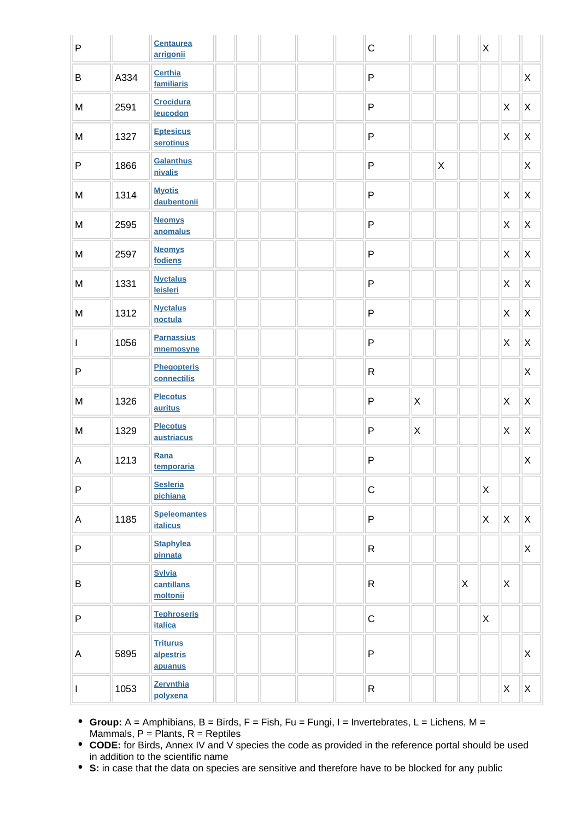| $\sf P$      |      | <b>Centaurea</b><br>arrigonii           |  |  | $\mathsf C$  |                |   |   | $\mathsf X$ |              |                |
|--------------|------|-----------------------------------------|--|--|--------------|----------------|---|---|-------------|--------------|----------------|
| B            | A334 | <b>Certhia</b><br>familiaris            |  |  | $\mathsf{P}$ |                |   |   |             |              | X              |
| ${\sf M}$    | 2591 | <b>Crocidura</b><br>leucodon            |  |  | $\sf P$      |                |   |   |             | X            | $\pmb{\times}$ |
| M            | 1327 | <b>Eptesicus</b><br>serotinus           |  |  | ${\sf P}$    |                |   |   |             | X            | $\pmb{\times}$ |
| $\sf P$      | 1866 | <b>Galanthus</b><br>nivalis             |  |  | $\mathsf{P}$ |                | X |   |             |              | X              |
| M            | 1314 | <b>Myotis</b><br>daubentonii            |  |  | $\sf P$      |                |   |   |             | X            | $\pmb{\times}$ |
| ${\sf M}$    | 2595 | <b>Neomys</b><br>anomalus               |  |  | $\sf P$      |                |   |   |             | X            | $\pmb{\times}$ |
| ${\sf M}$    | 2597 | <b>Neomys</b><br>fodiens                |  |  | $\sf P$      |                |   |   |             | X            | $\pmb{\times}$ |
| M            | 1331 | <b>Nyctalus</b><br>leisleri             |  |  | $\sf P$      |                |   |   |             | $\mathsf{X}$ | $\pmb{\times}$ |
| M            | 1312 | <b>Nyctalus</b><br>noctula              |  |  | $\sf P$      |                |   |   |             | $\mathsf{X}$ | $\pmb{\times}$ |
| $\mathbf{I}$ | 1056 | <b>Parnassius</b><br>mnemosyne          |  |  | ${\sf P}$    |                |   |   |             | $\mathsf{X}$ | $\pmb{\times}$ |
| $\sf P$      |      | <b>Phegopteris</b><br>connectilis       |  |  | $\mathsf{R}$ |                |   |   |             |              | $\pmb{\times}$ |
| ${\sf M}$    | 1326 | <b>Plecotus</b><br>auritus              |  |  | $\mathsf{P}$ | $\mathsf{X}$   |   |   |             | X            | X              |
| M            | 1329 | <b>Plecotus</b><br>austriacus           |  |  | ${\sf P}$    | $\pmb{\times}$ |   |   |             | X            | $\pmb{\times}$ |
| $\mathsf A$  | 1213 | Rana<br>temporaria                      |  |  | P            |                |   |   |             |              | $\mathsf X$    |
| $\sf P$      |      | <b>Sesleria</b><br>pichiana             |  |  | $\mathsf C$  |                |   |   | $\mathsf X$ |              |                |
| A            | 1185 | <b>Speleomantes</b><br><b>italicus</b>  |  |  | $\sf P$      |                |   |   | $\mathsf X$ | X            | X              |
| $\sf P$      |      | <b>Staphylea</b><br>pinnata             |  |  | $\mathsf{R}$ |                |   |   |             |              | X              |
| $\sf B$      |      | <b>Sylvia</b><br>cantillans<br>moltonii |  |  | $\mathsf{R}$ |                |   | X |             | X            |                |
| $\sf P$      |      | <b>Tephroseris</b><br><b>italica</b>    |  |  | $\mathsf C$  |                |   |   | $\mathsf X$ |              |                |
| A            | 5895 | <b>Triturus</b><br>alpestris<br>apuanus |  |  | $\sf P$      |                |   |   |             |              | X              |
|              | 1053 | Zerynthia<br>polyxena                   |  |  | $\mathsf{R}$ |                |   |   |             | X            | X              |

- **Group:** A = Amphibians, B = Birds, F = Fish, Fu = Fungi, I = Invertebrates, L = Lichens, M = Mammals,  $P =$  Plants,  $R =$  Reptiles
- **CODE:** for Birds, Annex IV and V species the code as provided in the reference portal should be used in addition to the scientific name
- **S:** in case that the data on species are sensitive and therefore have to be blocked for any public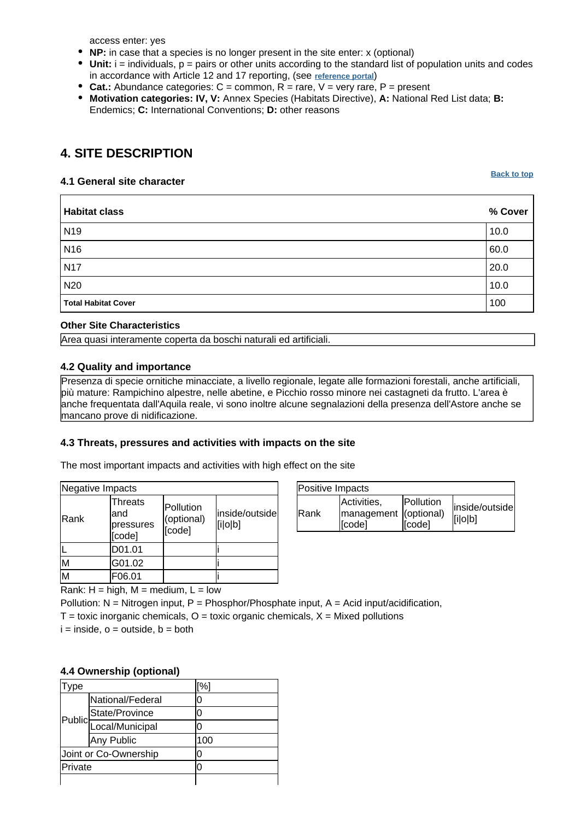access enter: yes

- **NP:** in case that a species is no longer present in the site enter: x (optional)
- $\bullet$  Unit:  $i =$  individuals,  $p =$  pairs or other units according to the standard list of population units and codes in accordance with Article 12 and 17 reporting, (see **[reference portal](http://bd.eionet.europa.eu/activities/Natura_2000/reference_portal)**)
- Cat.: Abundance categories:  $C =$  common,  $R =$  rare,  $V =$  very rare,  $P =$  present
- **Motivation categories: IV, V:** Annex Species (Habitats Directive), **A:** National Red List data; **B:** Endemics; **C:** International Conventions; **D:** other reasons

## <span id="page-5-0"></span>**4. SITE DESCRIPTION**

#### **4.1 General site character**

**[Back to top](#page-0-0)**

| <b>Habitat class</b>       | % Cover |
|----------------------------|---------|
| N <sub>19</sub>            | 10.0    |
| N <sub>16</sub>            | 60.0    |
| <b>N17</b>                 | 20.0    |
| N20                        | 10.0    |
| <b>Total Habitat Cover</b> | 100     |

#### **Other Site Characteristics**

Area quasi interamente coperta da boschi naturali ed artificiali.

#### **4.2 Quality and importance**

Presenza di specie ornitiche minacciate, a livello regionale, legate alle formazioni forestali, anche artificiali, più mature: Rampichino alpestre, nelle abetine, e Picchio rosso minore nei castagneti da frutto. L'area è anche frequentata dall'Aquila reale, vi sono inoltre alcune segnalazioni della presenza dell'Astore anche se mancano prove di nidificazione.

#### **4.3 Threats, pressures and activities with impacts on the site**

The most important impacts and activities with high effect on the site

| Negative Impacts |                                            |                                   |                           |
|------------------|--------------------------------------------|-----------------------------------|---------------------------|
| Rank             | Threats<br>and<br>pressures<br>.<br>[code] | Pollution<br>(optional)<br>[code] | inside/outside<br>[i o b] |
|                  | D01.01                                     |                                   |                           |
| M                | G01.02                                     |                                   |                           |
| M                | F06.01                                     |                                   |                           |

| Positive Impacts |                                                |                             |                           |
|------------------|------------------------------------------------|-----------------------------|---------------------------|
| <b>IRank</b>     | Activities,<br>management (optional)<br>[code] | <b>IPollution</b><br>[code] | inside/outside<br>[i o b] |

Rank:  $H = high$ ,  $M = medium$ ,  $L = low$ 

Pollution:  $N =$  Nitrogen input, P = Phosphor/Phosphate input, A = Acid input/acidification,

 $T =$  toxic inorganic chemicals,  $Q =$  toxic organic chemicals,  $X =$  Mixed pollutions

 $i =$  inside,  $o =$  outside,  $b =$  both

#### **4.4 Ownership (optional)**

| ype     |                                     | [%] |  |
|---------|-------------------------------------|-----|--|
|         | National/Federal                    | 0   |  |
|         |                                     | 0   |  |
|         | Public<br>Public<br>Local/Municipal | Ω   |  |
|         | Any Public                          | 100 |  |
|         | Joint or Co-Ownership               | 0   |  |
| Private |                                     | O   |  |
|         |                                     |     |  |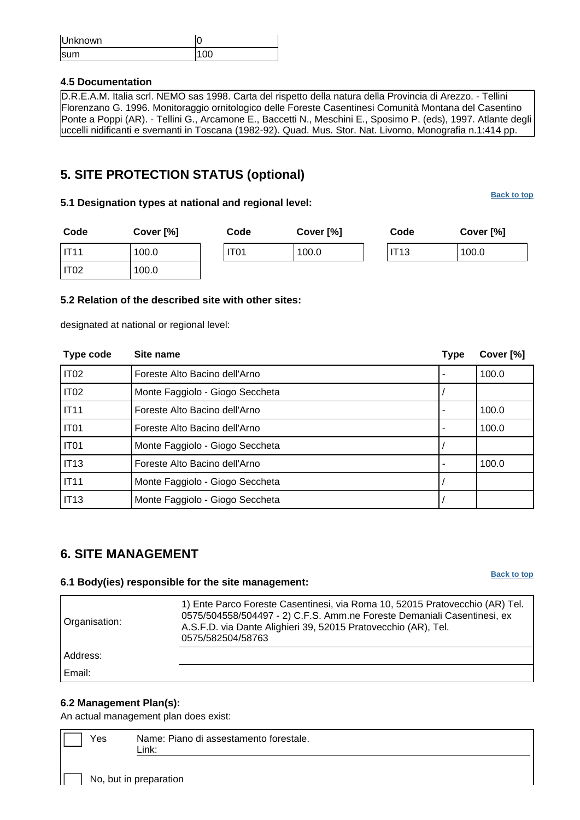| Unknown     |  |
|-------------|--|
| <b>Isum</b> |  |

#### **4.5 Documentation**

D.R.E.A.M. Italia scrl. NEMO sas 1998. Carta del rispetto della natura della Provincia di Arezzo. - Tellini Florenzano G. 1996. Monitoraggio ornitologico delle Foreste Casentinesi Comunità Montana del Casentino Ponte a Poppi (AR). - Tellini G., Arcamone E., Baccetti N., Meschini E., Sposimo P. (eds), 1997. Atlante degli uccelli nidificanti e svernanti in Toscana (1982-92). Quad. Mus. Stor. Nat. Livorno, Monografia n.1:414 pp.

## <span id="page-6-0"></span>**5. SITE PROTECTION STATUS (optional)**

#### **5.1 Designation types at national and regional level:**

**[Back to top](#page-0-0)**

**[Back to top](#page-0-0)**

| Code             | Cover [%] | Code             | Cover [%] | Code        | Cover [%] |
|------------------|-----------|------------------|-----------|-------------|-----------|
| IT11             | 100.0     | IT <sub>01</sub> | 100.0     | <b>IT13</b> | 100.0     |
| IT <sub>02</sub> | 100.0     |                  |           |             |           |

#### **5.2 Relation of the described site with other sites:**

designated at national or regional level:

| Type code        | Site name                       | <b>Type</b> | Cover [%] |
|------------------|---------------------------------|-------------|-----------|
| IT <sub>02</sub> | Foreste Alto Bacino dell'Arno   |             | 100.0     |
| IT <sub>02</sub> | Monte Faggiolo - Giogo Seccheta |             |           |
| <b>IT11</b>      | Foreste Alto Bacino dell'Arno   |             | 100.0     |
| IT <sub>01</sub> | Foreste Alto Bacino dell'Arno   |             | 100.0     |
| IT <sub>01</sub> | Monte Faggiolo - Giogo Seccheta |             |           |
| IT13             | Foreste Alto Bacino dell'Arno   |             | 100.0     |
| <b>IT11</b>      | Monte Faggiolo - Giogo Seccheta |             |           |
| <b>IT13</b>      | Monte Faggiolo - Giogo Seccheta |             |           |

### <span id="page-6-1"></span>**6. SITE MANAGEMENT**

#### **6.1 Body(ies) responsible for the site management:**

| Organisation: | 1) Ente Parco Foreste Casentinesi, via Roma 10, 52015 Pratovecchio (AR) Tel.<br>0575/504558/504497 - 2) C.F.S. Amm.ne Foreste Demaniali Casentinesi, ex<br>A.S.F.D. via Dante Alighieri 39, 52015 Pratovecchio (AR), Tel.<br>0575/582504/58763 |
|---------------|------------------------------------------------------------------------------------------------------------------------------------------------------------------------------------------------------------------------------------------------|
| Address:      |                                                                                                                                                                                                                                                |
| Email:        |                                                                                                                                                                                                                                                |

#### **6.2 Management Plan(s):**

An actual management plan does exist:

| Yes | Name: Piano di assestamento forestale. |
|-----|----------------------------------------|
|     | ∟ink:                                  |
|     |                                        |